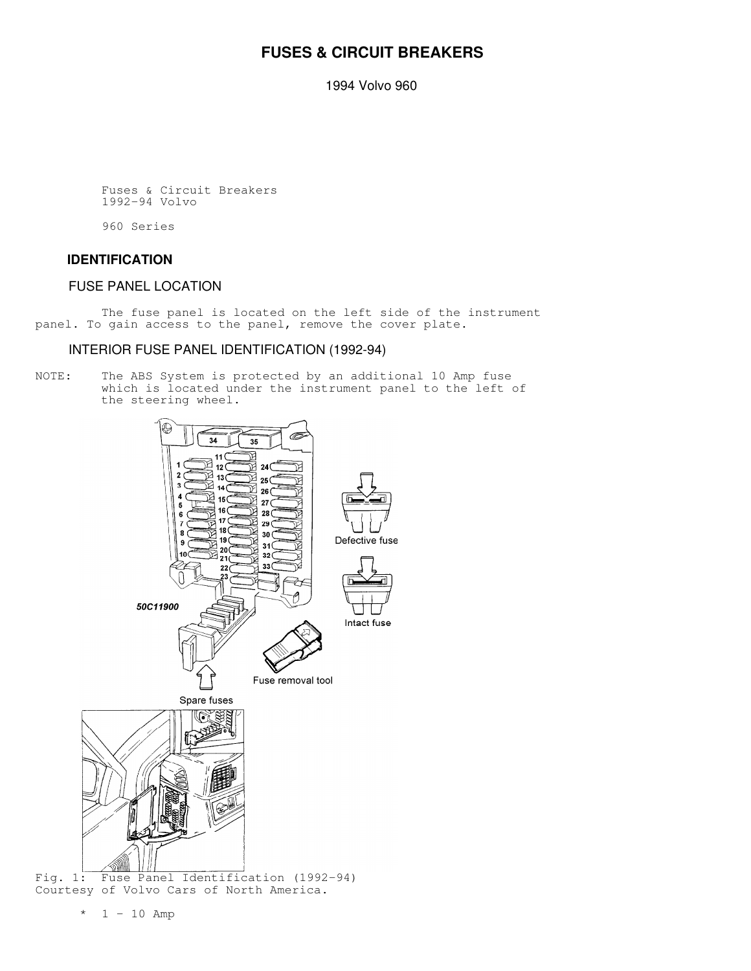# **FUSES & CIRCUIT BREAKERS**

1994 Volvo 960

 Fuses & Circuit Breakers 1992-94 Volvo

960 Series

#### **IDENTIFICATION**

## FUSE PANEL LOCATION

 The fuse panel is located on the left side of the instrument panel. To gain access to the panel, remove the cover plate.

#### INTERIOR FUSE PANEL IDENTIFICATION (1992-94)

NOTE: The ABS System is protected by an additional 10 Amp fuse which is located under the instrument panel to the left of the steering wheel.



Courtesy of Volvo Cars of North America.

 $*$  1 - 10 Amp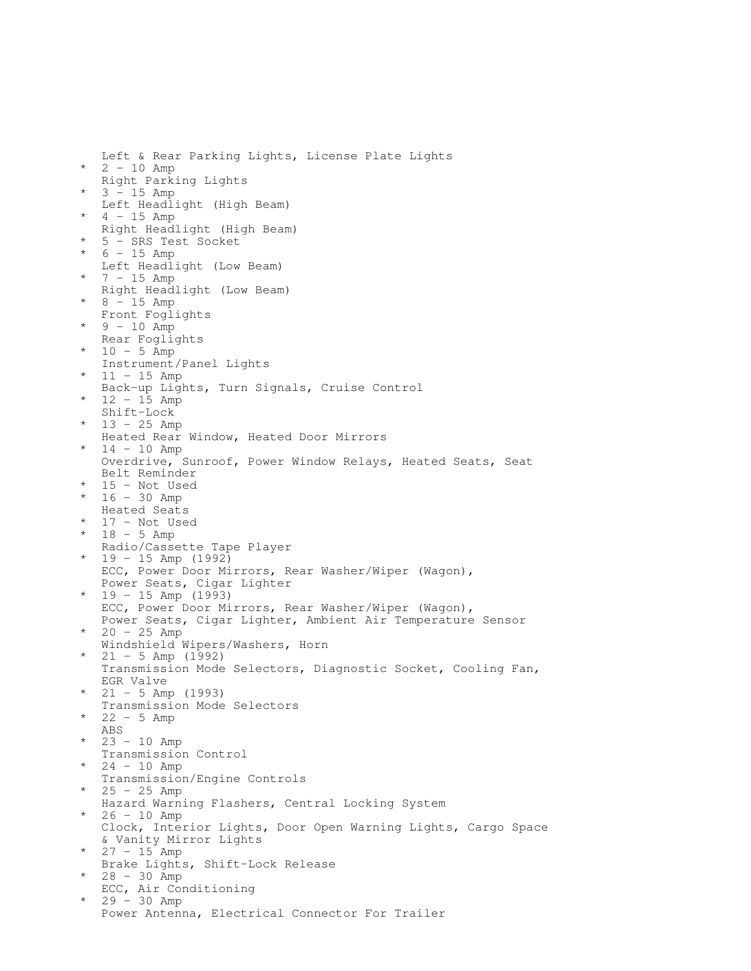Left & Rear Parking Lights, License Plate Lights  $*$  2 - 10 Amp Right Parking Lights  $3 - 15$  Amp Left Headlight (High Beam)  $4 - 15$  Amp Right Headlight (High Beam) 5 - SRS Test Socket \* 6 - 15 Amp Left Headlight (Low Beam) 7 - 15 Amp Right Headlight (Low Beam) 8 - 15 Amp Front Foglights  $9 - 10$  Amp Rear Foglights 10 - 5 Amp Instrument/Panel Lights 11 - 15 Amp Back-up Lights, Turn Signals, Cruise Control  $12 - 15$  Amp Shift-Lock  $13 - 25$  Amp Heated Rear Window, Heated Door Mirrors 14 - 10 Amp Overdrive, Sunroof, Power Window Relays, Heated Seats, Seat Belt Reminder \* 15 - Not Used \* 16 - 30 Amp Heated Seats 17 - Not Used  $18 - 5$  Amp Radio/Cassette Tape Player 19 - 15 Amp (1992) ECC, Power Door Mirrors, Rear Washer/Wiper (Wagon), Power Seats, Cigar Lighter 19 - 15 Amp (1993) ECC, Power Door Mirrors, Rear Washer/Wiper (Wagon), Power Seats, Cigar Lighter, Ambient Air Temperature Sensor  $20 - 25$  Amp Windshield Wipers/Washers, Horn  $21 - 5$  Amp (1992) Transmission Mode Selectors, Diagnostic Socket, Cooling Fan, EGR Valve 21 - 5 Amp (1993) Transmission Mode Selectors  $22 - 5$  Amp ABS 23 - 10 Amp Transmission Control  $24 - 10$  Amp Transmission/Engine Controls 25 - 25 Amp Hazard Warning Flashers, Central Locking System  $26 - 10$  Amp Clock, Interior Lights, Door Open Warning Lights, Cargo Space & Vanity Mirror Lights  $27 - 15$  Amp Brake Lights, Shift-Lock Release 28 - 30 Amp ECC, Air Conditioning \* 29 - 30 Amp Power Antenna, Electrical Connector For Trailer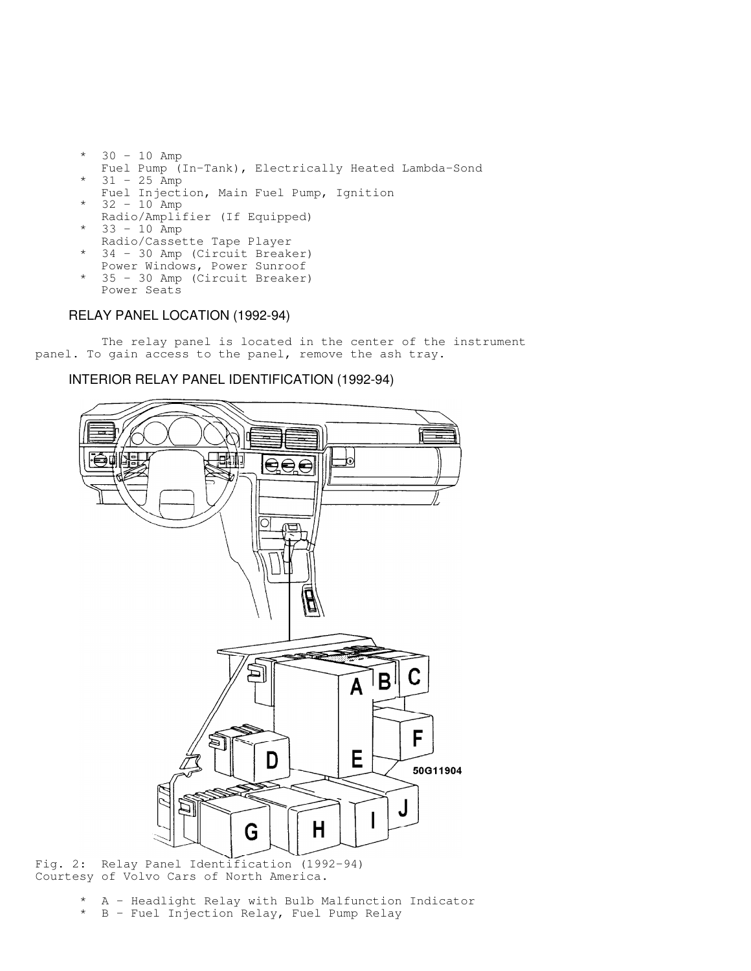- 30 10 Amp Fuel Pump (In-Tank), Electrically Heated Lambda-Sond  $31 - 25$  Amp Fuel Injection, Main Fuel Pump, Ignition  $32 - 10$  Amp Radio/Amplifier (If Equipped) 33 - 10 Amp Radio/Cassette Tape Player 34 - 30 Amp (Circuit Breaker) Power Windows, Power Sunroof
- \* 35 30 Amp (Circuit Breaker) Power Seats

## RELAY PANEL LOCATION (1992-94)

 The relay panel is located in the center of the instrument panel. To gain access to the panel, remove the ash tray.

### INTERIOR RELAY PANEL IDENTIFICATION (1992-94)



Fig. 2: Relay Panel Identification (1992-94) Courtesy of Volvo Cars of North America.

- \* A Headlight Relay with Bulb Malfunction Indicator
- \* B Fuel Injection Relay, Fuel Pump Relay